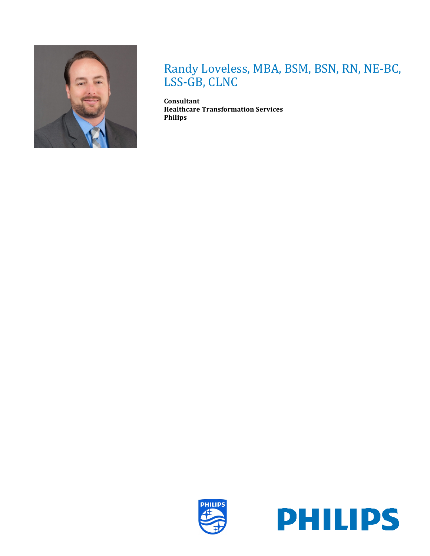

# Randy Loveless, MBA, BSM, BSN, RN, NE-BC, LSS-GB, CLNC

**Consultant Healthcare Transformation Services Philips**



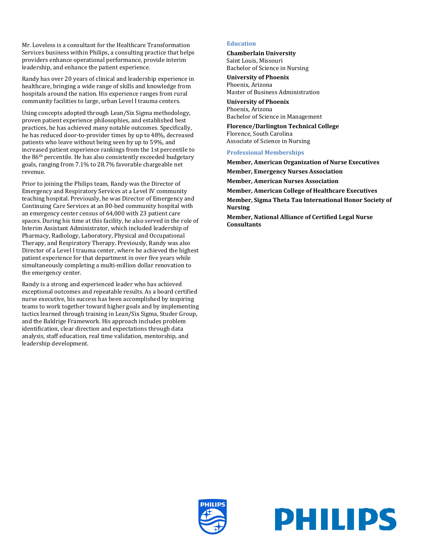Mr. Loveless is a consultant for the Healthcare Transformation Services business within Philips, a consulting practice that helps providers enhance operational performance, provide interim leadership, and enhance the patient experience.

Randy has over 20 years of clinical and leadership experience in healthcare, bringing a wide range of skills and knowledge from hospitals around the nation. His experience ranges from rural community facilities to large, urban Level I trauma centers.

Using concepts adopted through Lean/Six Sigma methodology, proven patient experience philosophies, and established best practices, he has achieved many notable outcomes. Specifically, he has reduced door-to-provider times by up to 48%, decreased patients who leave without being seen by up to 59%, and increased patient experience rankings from the 1st percentile to the 86th percentile. He has also consistently exceeded budgetary goals, ranging from 7.1% to 28.7% favorable chargeable net revenue.

Prior to joining the Philips team, Randy was the Director of Emergency and Respiratory Services at a Level IV community teaching hospital. Previously, he was Director of Emergency and Continuing Care Services at an 80-bed community hospital with an emergency center census of 64,000 with 23 patient care spaces. During his time at this facility, he also served in the role of Interim Assistant Administrator, which included leadership of Pharmacy, Radiology, Laboratory, Physical and Occupational Therapy, and Respiratory Therapy. Previously, Randy was also Director of a Level I trauma center, where he achieved the highest patient experience for that department in over five years while simultaneously completing a multi-million dollar renovation to the emergency center.

Randy is a strong and experienced leader who has achieved exceptional outcomes and repeatable results. As a board certified nurse executive, his success has been accomplished by inspiring teams to work together toward higher goals and by implementing tactics learned through training in Lean/Six Sigma, Studer Group, and the Baldrige Framework. His approach includes problem identification, clear direction and expectations through data analysis, staff education, real time validation, mentorship, and leadership development.

#### **Education**

**Chamberlain University** Saint Louis, Missouri Bachelor of Science in Nursing

**University of Phoenix** Phoenix, Arizona Master of Business Administration

**University of Phoenix** Phoenix, Arizona Bachelor of Science in Management

**Florence/Darlington Technical College** Florence, South Carolina Associate of Science in Nursing

#### **Professional Memberships**

**Member, American Organization of Nurse Executives Member, Emergency Nurses Association Member, American Nurses Association Member, American College of Healthcare Executives Member, Sigma Theta Tau International Honor Society of Nursing**

**Member, National Alliance of Certified Legal Nurse Consultants**